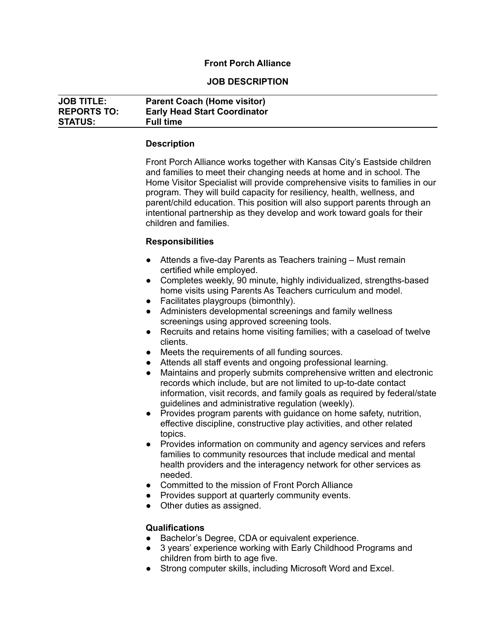## **Front Porch Alliance**

### **JOB DESCRIPTION**

| <b>JOB TITLE:</b>  | <b>Parent Coach (Home visitor)</b>  |
|--------------------|-------------------------------------|
| <b>REPORTS TO:</b> | <b>Early Head Start Coordinator</b> |
| <b>STATUS:</b>     | <b>Full time</b>                    |

#### **Description**

Front Porch Alliance works together with Kansas City's Eastside children and families to meet their changing needs at home and in school. The Home Visitor Specialist will provide comprehensive visits to families in our program. They will build capacity for resiliency, health, wellness, and parent/child education. This position will also support parents through an intentional partnership as they develop and work toward goals for their children and families.

### **Responsibilities**

- Attends a five-day Parents as Teachers training Must remain certified while employed.
- Completes weekly, 90 minute, highly individualized, strengths-based home visits using Parents As Teachers curriculum and model.
- Facilitates playgroups (bimonthly).
- Administers developmental screenings and family wellness screenings using approved screening tools.
- Recruits and retains home visiting families; with a caseload of twelve clients.
- Meets the requirements of all funding sources.
- Attends all staff events and ongoing professional learning.
- Maintains and properly submits comprehensive written and electronic records which include, but are not limited to up-to-date contact information, visit records, and family goals as required by federal/state guidelines and administrative regulation (weekly).
- Provides program parents with guidance on home safety, nutrition, effective discipline, constructive play activities, and other related topics.
- Provides information on community and agency services and refers families to community resources that include medical and mental health providers and the interagency network for other services as needed.
- Committed to the mission of Front Porch Alliance
- Provides support at quarterly community events.
- Other duties as assigned.

### **Qualifications**

- Bachelor's Degree, CDA or equivalent experience.
- 3 years' experience working with Early Childhood Programs and children from birth to age five.
- Strong computer skills, including Microsoft Word and Excel.